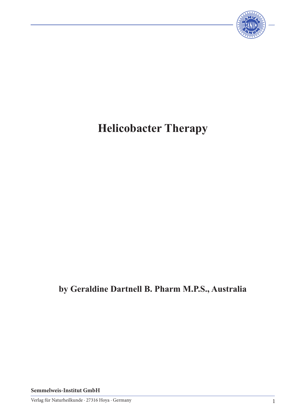

# **Helicobacter Therapy**

# **by Geraldine Dartnell B. Pharm M.P.S., Australia**

**Semmelweis-Institut GmbH**

Verlag für Naturheilkunde · 27316 Hoya · Germany 1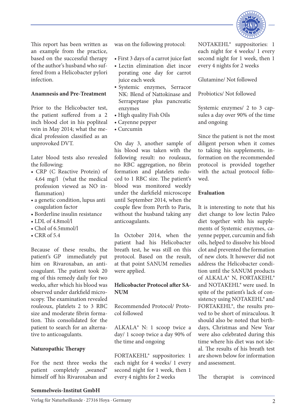

This report has been written as an example from the practice, based on the successful therapy of the author's husband who suffered from a Helicobacter pylori infection.

# **Anamnesis and Pre-Treatment**

Prior to the Helicobacter test, the patient suffered from a 2 inch blood clot in his popliteal vein in May 2014; what the medical profession classified as an unprovoked DVT.

Later blood tests also revealed the following:

- CRP (C Reactive Protein) of 4.64 mg/l (what the medical profession viewed as NO inflammation)
- a genetic condition, lupus anti coagulation factor
- Borderline insulin resistance
- LDL of 4.8mol/l
- Chol of 6.5mmol/l
- CRR of 5.4

Because of these results, the patient's GP immediately put him on Rivaroxaban, an anticoagulant. The patient took 20 mg of this remedy daily for two weeks, after which his blood was observed under darkfield microscopy. The examination revealed rouleoux, platelets 2 to 3 RBC size and moderate fibrin formation. This consolidated for the patient to search for an alternative to anticoagulants.

#### **Naturopathic Therapy**

For the next three weeks the patient completely "weaned" himself off his Rivaroxaban and was on the following protocol:

- First 3 days of a carrot juice fast
- Lectin elimination diet incor porating one day for carrot juice each week
- Systemic enzymes, Serracor NK: Blend of Nattokinase and Serrapeptase plus pancreatic enzymes
- High quality Fish Oils
- Cayenne pepper
- Curcumin

On day 3, another sample of his blood was taken with the following result: no rouleaux, no RBC aggregation, no fibrin formation and platelets reduced to 1 RBC size. The patient's blood was monitored weekly under the darkfield microscope until September 2014, when the couple flew from Perth to Paris, without the husband taking any anticoagulants.

In October 2014, when the patient had his Helicobacter breath test, he was still on this protocol. Based on the result, at that point SANUM remedies were applied.

# **Helicobacter Protocol after SA-NUM**

Recommended Protocol/ Protocol followed

ALKALA® N: 1 scoop twice a day/ 1 scoop twice a day 90% of the time and ongoing

FORTAKEHL® suppositories: 1 each night for 4 weeks/ 1 every second night for 1 week, then 1 every 4 nights for 2 weeks

NOTAKEHL® suppositories: 1 each night for 4 weeks/ 1 every second night for 1 week, then 1 every 4 nights for 2 weeks

Glutamine/ Not followed

Probiotics/ Not followed

Systemic enzymes/ 2 to 3 capsules a day over 90% of the time and ongoing

Since the patient is not the most diligent person when it comes to taking his supplements, information on the recommended protocol is provided together with the actual protocol followed.

# **Evaluation**

It is interesting to note that his diet change to low lectin Paleo diet together with his supplements of Systemic enzymes, cayenne pepper, curcumin and fish oils, helped to dissolve his blood clot and prevented the formation of new clots. It however did not address the Helicobacter condition until the SANUM products of ALKALA® N, FORTAKEHL® and NOTAKEHL® were used. In spite of the patient's lack of consistency using NOTAKEHL® and FORTAKEHL®, the results proved to be short of miraculous. It should also be noted that birthdays, Christmas and New Year were also celebrated during this time where his diet was not ideal. The results of his breath test are shown below for information and assessment.

The therapist is convinced

#### **Semmelweis-Institut GmbH**